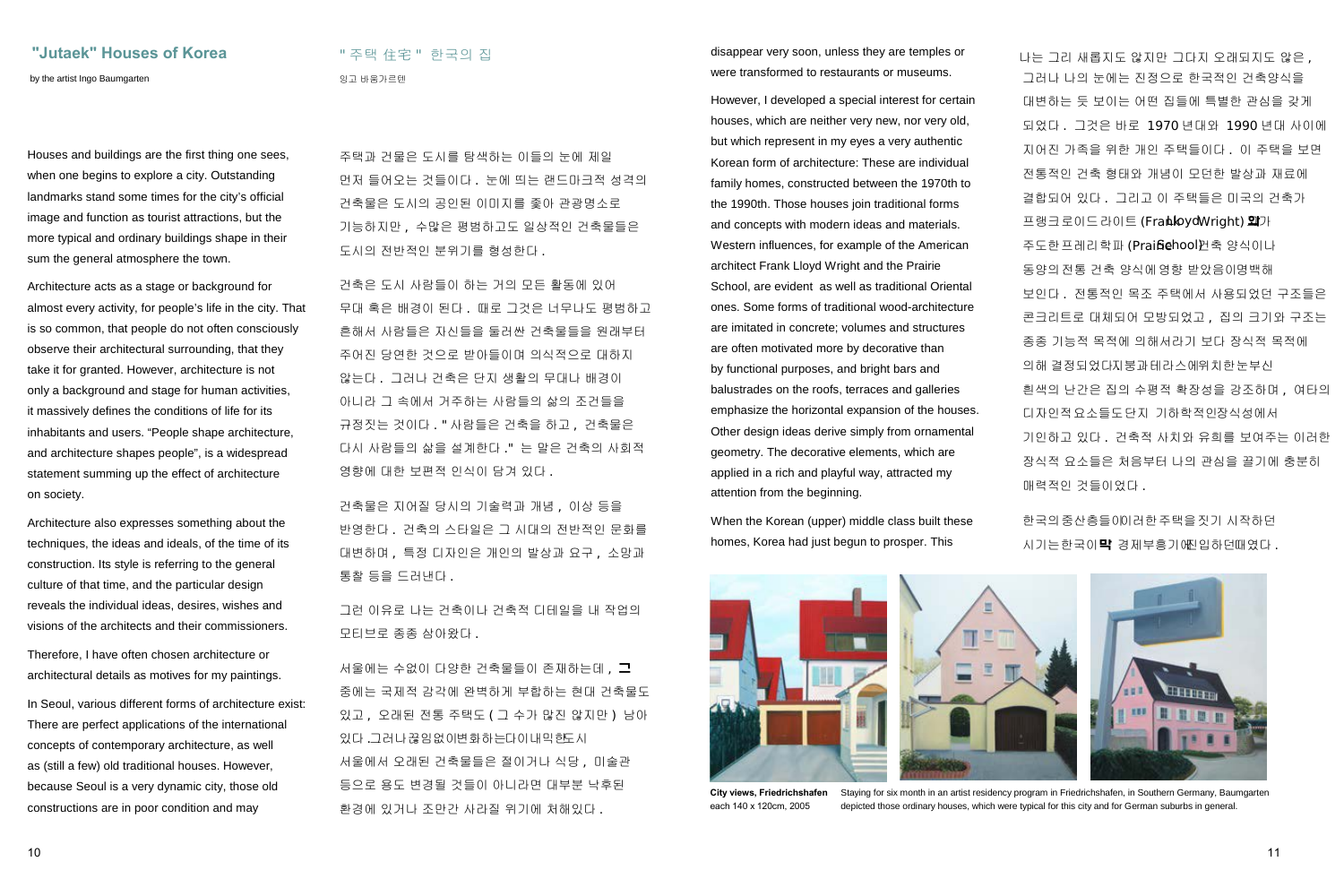## "Jutaek" Houses of Korea **Network 기** 주택 住宅 " 한국의 집

by the artist Ingo Baumgarten 2012 - 11 April 2014 - 12 April 2014 - 이고 바움가르텐

Houses and buildings are the first thing one sees, when one begins to explore a city. Outstanding landmarks stand some times for the city's official image and function as tourist attractions, but the more typical and ordinary buildings shape in their sum the general atmosphere the town.

Architecture acts as a stage or background for almost every activity, for people's life in the city. That is so common, that people do not often consciously observe their architectural surrounding, that they take it for granted. However, architecture is not only a background and stage for human activities, it massively defines the conditions of life for its inhabitants and users. "People shape architecture, and architecture shapes people", is a widespread statement summing up the effect of architecture on society.

Architecture also expresses something about the techniques, the ideas and ideals, of the time of its construction. Its style is referring to the general culture of that time, and the particular design reveals the individual ideas, desires, wishes and visions of the architects and their commissioners.

Therefore, I have often chosen architecture or architectural details as motives for my paintings.

In Seoul, various different forms of architecture exist: There are perfect applications of the international concepts of contemporary architecture, as well as (still a few) old traditional houses. However, because Seoul is a very dynamic city, those old constructions are in poor condition and may

주택과 건물은 도시를 탐색하는 이들의 눈에 제일 먼저 들어오는 것들이다 . 눈에 띄는 랜드마크적 성격의 건축물은 도시의 공인된 이미지를 좇아 관광명소로 기능하지만 , 수많은 평범하고도 일상적인 건축물들은 도시의 전반적인 분위기를 형성한다 .

건축은 도시 사람들이 하는 거의 모든 활동에 있어 무대 혹은 배경이 된다 . 때로 그것은 너무나도 평범하고 흔해서 사람들은 자신들을 둘러싼 건축물들을 원래부터 주어진 당연한 것으로 받아들이며 의식적으로 대하지 않는다 . 그러나 건축은 단지 생활의 무대나 배경이 아니라 그 속에서 거주하는 사람들의 삶의 조건들을 규정짓는 것이다 . " 사람들은 건축을 하고 , 건축물은 다시 사람들의 삶을 설계한다 ." 는 말은 건축의 사회적 영향에 대한 보편적 인식이 담겨 있다 .

건축물은 지어질 당시의 기술력과 개념 , 이상 등을 반영한다 . 건축의 스타일은 그 시대의 전반적인 문화를 대변하며 , 특정 디자인은 개인의 발상과 요구 , 소망과 통찰 등을 드러낸다 .

그런 이유로 나는 건축이나 건축적 디테일을 내 작업의 모티브로 종종 삼아왔다 .

서울에는 수없이 다양한 건축물들이 존재하는데 , 그 중에는 국제적 감각에 완벽하게 부합하는 현대 건축물도 있고 , 오래된 전통 주택도 ( 그 수가 많진 않지만 ) 남아 있다 . 그러나끊임없이변화하는다이내믹한도시 서울에서 오래된 건축물들은 절이거나 식당 , 미술관 등으로 용도 변경될 것들이 아니라면 대부분 낙후된 환경에 있거나 조만간 사라질 위기에 처해있다 .

disappear very soon, unless they are temples or were transformed to restaurants or museums.

However, I developed a special interest for certain houses, which are neither very new, nor very old, but which represent in my eyes a very authentic Korean form of architecture: These are individual family homes, constructed between the 1970th to the 1990th. Those houses join traditional forms and concepts with modern ideas and materials. Western influences, for example of the American architect Frank Lloyd Wright and the Prairie School, are evident as well as traditional Oriental ones. Some forms of traditional wood-architecture are imitated in concrete; volumes and structures are often motivated more by decorative than by functional purposes, and bright bars and balustrades on the roofs, terraces and galleries emphasize the horizontal expansion of the houses. Other design ideas derive simply from ornamental geometry. The decorative elements, which are applied in a rich and playful way, attracted my attention from the beginning.

When the Korean (upper) middle class built these homes, Korea had just begun to prosper. This

나는 그리 새롭지도 않지만 그다지 오래되지도 않은 , 그러나 나의 눈에는 진정으로 한국적인 건축양식을 대변하는 듯 보이는 어떤 집들에 특별한 관심을 갖게 되었다 . 그것은 바로 1970 년대와 1990 년대 사이에 지어진 가족을 위한 개인 주택들이다 . 이 주택을 보면 전통적인 건축 형태와 개념이 모던한 발상과 재료에 결합되어 있다 . 그리고 이 주택들은 미국의 건축가 프랭크로이드라이트 (Frankbyd Wright) 외가 주도한프레리학파 (Praifie hool) 권축 양식이나 동양의전통 건축 양식에영향 받았음이명백해 보인다 . 전통적인 목조 주택에서 사용되었던 구조들은 콘크리트로 대체되어 모방되었고 , 집의 크기와 구조는 종종 기능적 목적에 의해서라기 보다 장식적 목적에 의해 결정되었다지붕과 테라스에위치한눈부신 흰색의 난간은 집의 수평적 확장성을 강조하며 , 여타의 디자인적요소들도단지 기하학적인장식성에서 기인하고 있다 . 건축적 사치와 유희를 보여주는 이러한 장식적 요소들은 처음부터 나의 관심을 끌기에 충분히 매력적인 것들이었다 .

한국의중산층들이이러한주택을짓기 시작하던 시기는한국이막 경제부흥기에진입하던때였다 .



**City views, Friedrichshafen** each 140 x 120cm, 2005 Staying for six month in an artist residency program in Friedrichshafen, in Southern Germany, Baumgarten depicted those ordinary houses, which were typical for this city and for German suburbs in general.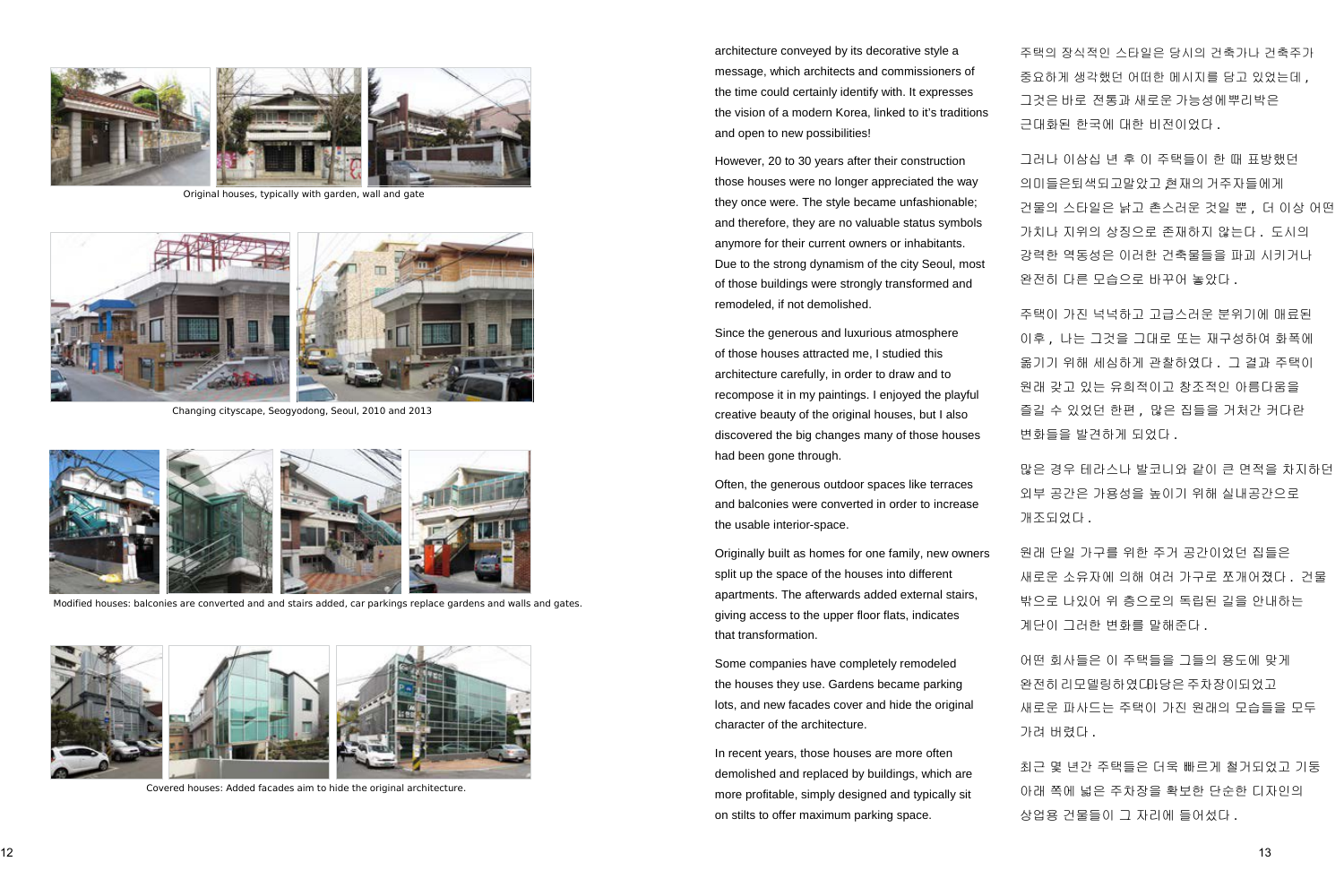

Original houses, typically with garden, wall and gate



Changing cityscape, Seogyodong, Seoul, 2010 and 2013



Modified houses: balconies are converted and and stairs added, car parkings replace gardens and walls and gates.



Covered houses: Added facades aim to hide the original architecture.

architecture conveyed by its decorative style a message, which architects and commissioners of the time could certainly identify with. It expresses the vision of a modern Korea, linked to it's traditions and open to new possibilities!

However, 20 to 30 years after their construction those houses were no longer appreciated the way they once were. The style became unfashionable; and therefore, they are no valuable status symbols anymore for their current owners or inhabitants. Due to the strong dynamism of the city Seoul, most of those buildings were strongly transformed and remodeled, if not demolished.

Since the generous and luxurious atmosphere of those houses attracted me, I studied this architecture carefully, in order to draw and to recompose it in my paintings. I enjoyed the playful creative beauty of the original houses, but I also discovered the big changes many of those houses had been gone through.

Often, the generous outdoor spaces like terraces and balconies were converted in order to increase the usable interior-space.

Originally built as homes for one family, new owners split up the space of the houses into different apartments. The afterwards added external stairs, giving access to the upper floor flats, indicates that transformation.

Some companies have completely remodeled the houses they use. Gardens became parking lots, and new facades cover and hide the original character of the architecture.

In recent years, those houses are more often demolished and replaced by buildings, which are more profitable, simply designed and typically sit on stilts to offer maximum parking space.

주택의 장식적인 스타일은 당시의 건축가나 건축주가 중요하게 생각했던 어떠한 메시지를 담고 있었는데 , 그것은 바로 전통과 새로운 가능성에뿌리박은 근대화된 한국에 대한 비전이었다 .

그러나 이삼십 년 후 이 주택들이 한 때 표방했던 의미들은퇴색되고말았고 현재의 거주자들에게 건물의 스타일은 낡고 촌스러운 것일 뿐 , 더 이상 어떤 가치나 지위의 상징으로 존재하지 않는다 . 도시의 강력한 역동성은 이러한 건축물들을 파괴 시키거나 완전히 다른 모습으로 바꾸어 놓았다.

주택이 가진 넉넉하고 고급스러운 분위기에 매료된 이후 , 나는 그것을 그대로 또는 재구성하여 화폭에 옮기기 위해 세심하게 관찰하였다 . 그 결과 주택이 원래 갖고 있는 유희적이고 창조적인 아름다움을 즐길 수 있었던 한편 , 많은 집들을 거처간 커다란 변화들을 발견하게 되었다.

많은 경우 테라스나 발코니와 같이 큰 면적을 차지하던 외부 공간은 가용성을 높이기 위해 실내공간으로 개조되었다 .

원래 단일 가구를 위한 주거 공간이었던 집들은 새로운 소유자에 의해 여러 가구로 쪼개어졌다 . 건물 밖으로 나있어 위 층으로의 독립된 길을 안내하는 계단이 그러한 변화를 말해준다.

어떤 회사들은 이 주택들을 그들의 용도에 맞게 완전히 리모델링하였다마당은 주차장이되었고 새로운 파사드는 주택이 가진 원래의 모습들을 모두 가려 버렸다 .

최근 몇 년간 주택들은 더욱 빠르게 철거되었고 기둥 아래 쪽에 넓은 주차장을 확보한 단순한 디자인의 상업용 건물들이 그 자리에 들어 섰다 .